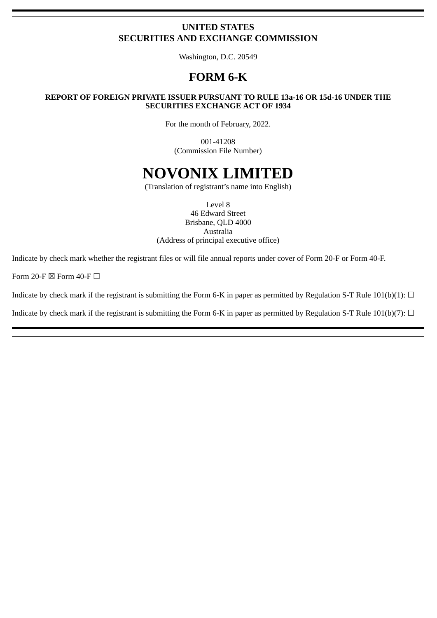# **UNITED STATES SECURITIES AND EXCHANGE COMMISSION**

Washington, D.C. 20549

# **FORM 6-K**

### **REPORT OF FOREIGN PRIVATE ISSUER PURSUANT TO RULE 13a-16 OR 15d-16 UNDER THE SECURITIES EXCHANGE ACT OF 1934**

For the month of February, 2022.

001-41208 (Commission File Number)

# **NOVONIX LIMITED**

(Translation of registrant's name into English)

Level 8 46 Edward Street Brisbane, QLD 4000 Australia (Address of principal executive office)

Indicate by check mark whether the registrant files or will file annual reports under cover of Form 20‑F or Form 40‑F.

Form 20-F  $\boxtimes$  Form 40-F  $\Box$ 

Indicate by check mark if the registrant is submitting the Form 6-K in paper as permitted by Regulation S-T Rule  $101(b)(1)$ :  $\Box$ 

Indicate by check mark if the registrant is submitting the Form 6-K in paper as permitted by Regulation S-T Rule 101(b)(7):  $\Box$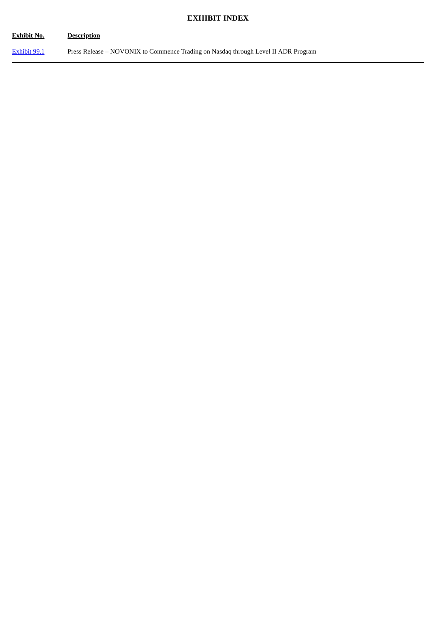# **EXHIBIT INDEX**

| <b>Exhibit No.</b> | <b>Description</b>                                                                 |
|--------------------|------------------------------------------------------------------------------------|
| Exhibit 99.1       | Press Release – NOVONIX to Commence Trading on Nasdaq through Level II ADR Program |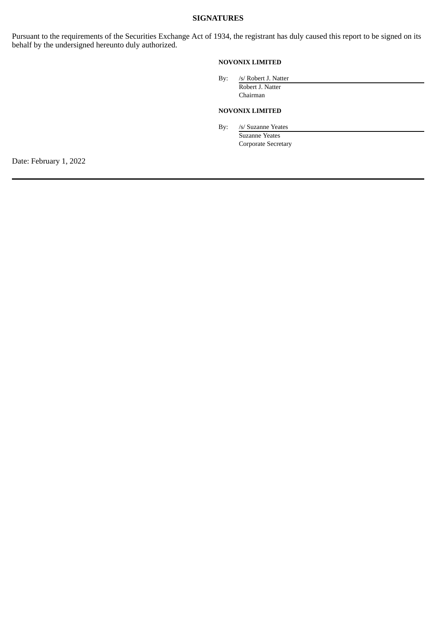# **SIGNATURES**

Pursuant to the requirements of the Securities Exchange Act of 1934, the registrant has duly caused this report to be signed on its behalf by the undersigned hereunto duly authorized.

#### **NOVONIX LIMITED**

By: /s/ Robert J. Natter Robert J. Natter Chairman

#### **NOVONIX LIMITED**

By: /s/ Suzanne Yeates

Suzanne Yeates Corporate Secretary

Date: February 1, 2022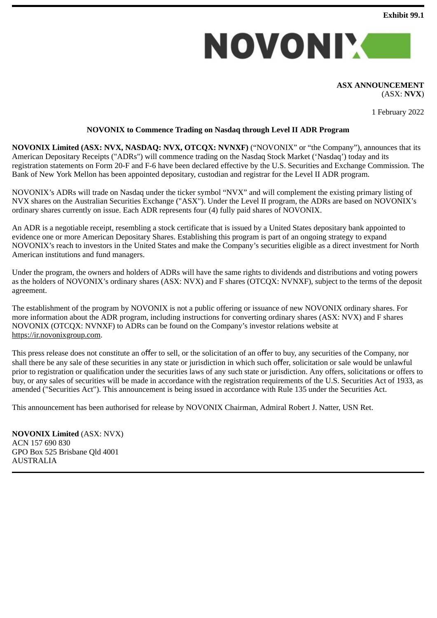

#### **ASX ANNOUNCEMENT** (ASX: **NVX**)

1 February 2022

# **NOVONIX to Commence Trading on Nasdaq through Level II ADR Program**

<span id="page-3-0"></span>**NOVONIX Limited (ASX: NVX, NASDAQ: NVX, OTCQX: NVNXF)** ("NOVONIX" or "the Company"), announces that its American Depositary Receipts ("ADRs") will commence trading on the Nasdaq Stock Market ('Nasdaq') today and its registration statements on Form 20-F and F-6 have been declared effective by the U.S. Securities and Exchange Commission. The Bank of New York Mellon has been appointed depositary, custodian and registrar for the Level II ADR program.

NOVONIX's ADRs will trade on Nasdaq under the ticker symbol "NVX" and will complement the existing primary listing of NVX shares on the Australian Securities Exchange ("ASX"). Under the Level II program, the ADRs are based on NOVONIX's ordinary shares currently on issue. Each ADR represents four (4) fully paid shares of NOVONIX.

An ADR is a negotiable receipt, resembling a stock certificate that is issued by a United States depositary bank appointed to evidence one or more American Depositary Shares. Establishing this program is part of an ongoing strategy to expand NOVONIX's reach to investors in the United States and make the Company's securities eligible as a direct investment for North American institutions and fund managers.

Under the program, the owners and holders of ADRs will have the same rights to dividends and distributions and voting powers as the holders of NOVONIX's ordinary shares (ASX: NVX) and F shares (OTCQX: NVNXF), subject to the terms of the deposit agreement.

The establishment of the program by NOVONIX is not a public offering or issuance of new NOVONIX ordinary shares. For more information about the ADR program, including instructions for converting ordinary shares (ASX: NVX) and F shares NOVONIX (OTCQX: NVNXF) to ADRs can be found on the Company's investor relations website at https://ir.novonixgroup.com.

This press release does not constitute an offer to sell, or the solicitation of an offer to buy, any securities of the Company, nor shall there be any sale of these securities in any state or jurisdiction in which such offer, solicitation or sale would be unlawful prior to registration or qualification under the securities laws of any such state or jurisdiction. Any offers, solicitations or offers to buy, or any sales of securities will be made in accordance with the registration requirements of the U.S. Securities Act of 1933, as amended ("Securities Act"). This announcement is being issued in accordance with Rule 135 under the Securities Act.

This announcement has been authorised for release by NOVONIX Chairman, Admiral Robert J. Natter, USN Ret.

**NOVONIX Limited** (ASX: NVX) ACN 157 690 830 GPO Box 525 Brisbane Qld 4001 AUSTRALIA